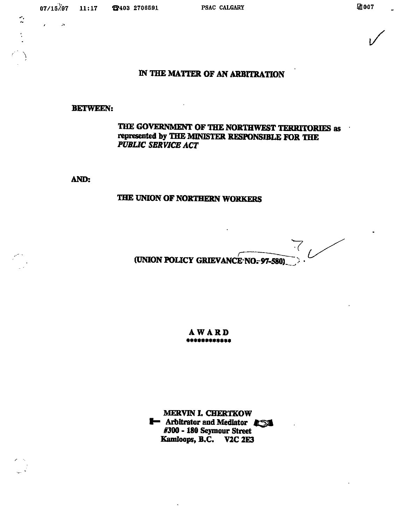$\mathbf{r} = \mathbf{r}$  $\bar{R}$ 

# IN THE MATTER OF AN ARBITRATION

## BETWEEN:

## THE GOVERNMENT OF THE NORTHWEST TERRITORIES as represented by THE MINISTER RESPONSIBLE FOR THE PUBLIC SERVICE ACT

AND:

### THE ONION OF NORTHERN WORKERS

 $7/$ (UNION POLICY GRIEVANCE NO.-97-580)

AWARD

MERVIN I, CHERTKOW **I** Arbitrator and Mediator #300 - 180 Seymour Street Kamloops, B.C. V2C 2E3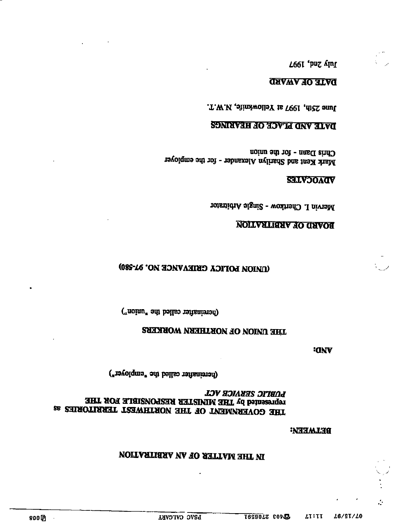#### **BETWEEN:**

# **LOV HOIANHS OFTEND** HILL NOT HIER DIE MIKIER KEZEOKETET EOK JHE 26 SHROTIASHT TERWHTROM HHT HO TWEMMARYOO HHT

(hereinafter called the "employer")

**ECNV** 

## THE DINON OF NORTHERN WORKERS

("noinaries called the "union")

# (DION DOITCA CETEAVACE IO' 61-280)

### **NOLLVALIANY NO GAVON**

Mervin I. Cherkow - Single Arbitrator

### **SHLVJOACV**

Chris Dann - for the union Mark Kent and Sharilyn Alexander - for the employer

### **SONIAVAH AO AOVIA ARVAIVA**

June 25th, 1997 at Yellowknife, N.W.T.

# DATE OF AWARD

**100. 2nd, 1997**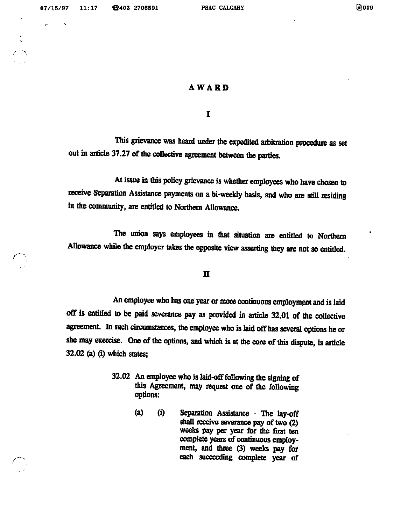$\mathbf{r}^{\prime}$ 

r

### **AWARD**

I

This grievance was heard under the expedited arbitration procedure as set out in article 37.27 of the collective agreement between the parties.

At issue in this policy grievance is whether employees who have chosen to receive Separation Assistance payments on a bi-weekly basis, and who are still residing in the community, are entitled to Northern Allowance.

The union says employees in that situation are entitled to Northern Allowance while the employer takes the opposite view asserting they are not so entitled.

n

An employee who has one year or more continuous employment and is laid off is ratitled to be paid severance pay as provided in article 32.01 of the collective agreement. In such circumstances, the employee who is laid off has several options he or she may exercise. One of the options, and which is at the core of this dispute, is article  $32.02$  (a) (i) which states;

- 32.02 An employee who is laid-off following the signing of this Agreement, may request one of the following options;
	- (a) (i) Separation Assistance The lay-off shall receive severance pay of two (2) weeks pay per year for the first ten complete years of continuous employment, and three (3) weeks pay for each succeeding complete year of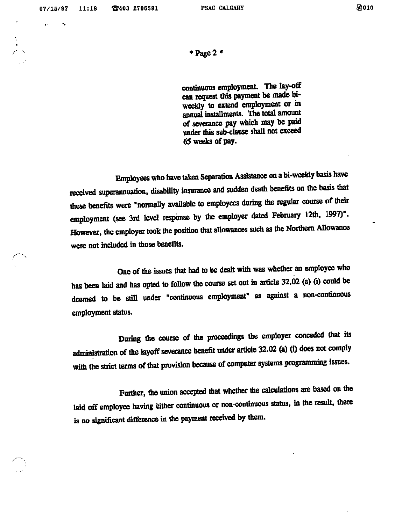$\mathbf{z}$  and  $\mathbf{z}$ 

 $*$  Page 2  $*$ 

continuous employment. The lay-off can request this payment be made biweekly to extend employment or in annual installments. The total amount of severance pay which may be paid under this sub-clause shall not exceed 65 weeks of pay.

Employees who have taken Separation Assistance on a bi-weekly basis have received superannuation, disability insurance and sudden death benefits on the basis that these benefits were "normally available to employees during the regular course of their employment (see 3rd level response by the employer dated February 12th, 1997)". However, the employer took the position that allowances such as the Northern Allowance were not included in those benefits.

One of the issues that had to be dealt with was whether an employee who has been laid and has opted to follow the course set out in article 32.02 (a) (i) could be deemed to be still under "continuous employment" as against a non-continuous employment status.

During the course of the proceedings the employer conceded that its administration of the layoff severance benefit under article 32.02 (a) (i) does not comply with the strict terms of that provision because of computer systems programming issues.

Further, the union accepted that whether the calculations are based on the laid off employee having either continuous or non-continuous status, in the result, there is no significant difference in the payment received by them.